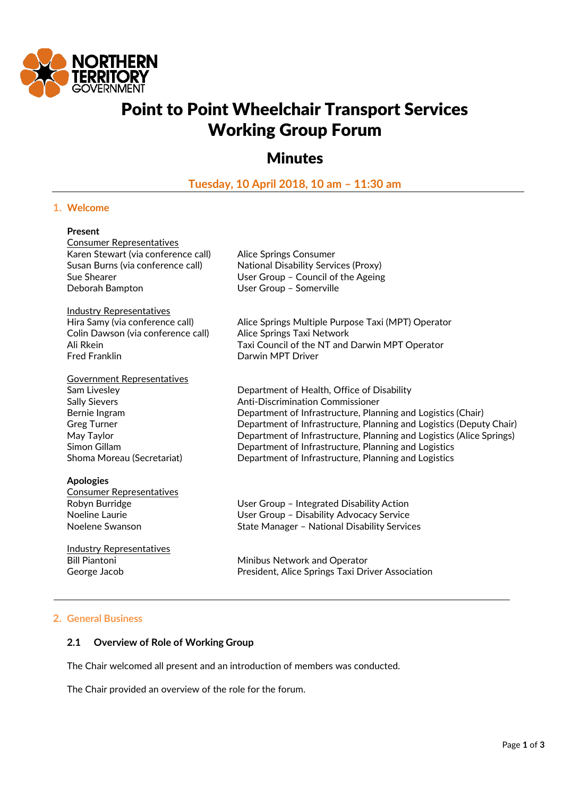

# Point to Point Wheelchair Transport Services Working Group Forum

# **Minutes**

**Tuesday, 10 April 2018, 10 am – 11:30 am**

# **1. Welcome**

#### **Present**

Consumer Representatives Karen Stewart (via conference call) Alice Springs Consumer Deborah Bampton User Group – Somerville

Industry Representatives Colin Dawson (via conference call) Alice Springs Taxi Network Fred Franklin **Darwin MPT Driver** 

Government Representatives

# **Apologies**

Consumer Representatives

Industry Representatives

Susan Burns (via conference call) National Disability Services (Proxy) Sue Shearer **In the User Group – Council of the Ageing** 

Hira Samy (via conference call) Alice Springs Multiple Purpose Taxi (MPT) Operator Ali Rkein Taxi Council of the NT and Darwin MPT Operator

Sam Livesley Department of Health, Office of Disability Sally Sievers **Anti-Discrimination Commissioner** Bernie Ingram **Department of Infrastructure, Planning and Logistics (Chair)** Greg Turner **Common State Common Constructure**, Planning and Logistics (Deputy Chair) May Taylor Department of Infrastructure, Planning and Logistics (Alice Springs) Simon Gillam **Department of Infrastructure, Planning and Logistics** Shoma Moreau (Secretariat) Department of Infrastructure, Planning and Logistics

Robyn Burridge The Robyn Burridge Communist Control User Group – Integrated Disability Action Noeline Laurie User Group – Disability Advocacy Service Noelene Swanson State Manager – National Disability Services

Bill Piantoni **Minibus Network and Operator** George Jacob President, Alice Springs Taxi Driver Association

# **2. General Business**

# **2.1 Overview of Role of Working Group**

The Chair welcomed all present and an introduction of members was conducted.

The Chair provided an overview of the role for the forum.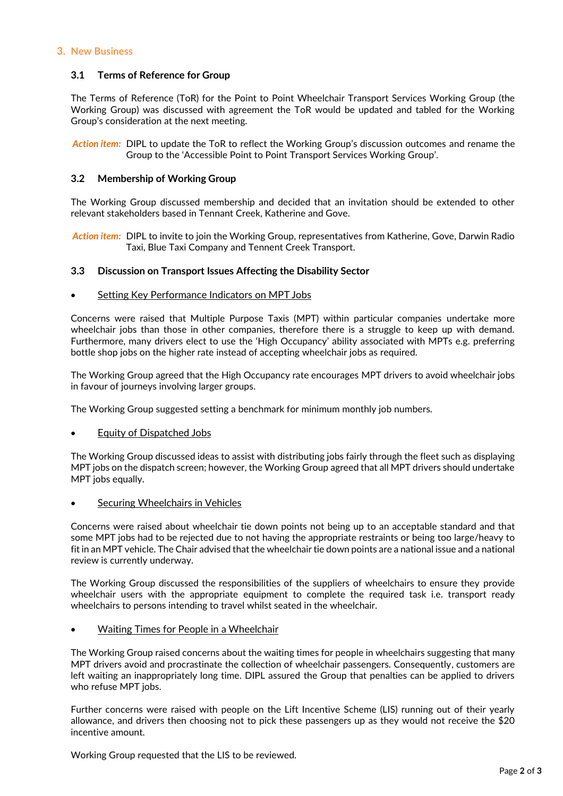#### **3. New Business**

# **3.1 Terms of Reference for Group**

The Terms of Reference (ToR) for the Point to Point Wheelchair Transport Services Working Group (the Working Group) was discussed with agreement the ToR would be updated and tabled for the Working Group's consideration at the next meeting.

*Action item:* DIPL to update the ToR to reflect the Working Group's discussion outcomes and rename the Group to the 'Accessible Point to Point Transport Services Working Group'.

# **3.2 Membership of Working Group**

The Working Group discussed membership and decided that an invitation should be extended to other relevant stakeholders based in Tennant Creek, Katherine and Gove.

*Action item:* DIPL to invite to join the Working Group, representatives from Katherine, Gove, Darwin Radio Taxi, Blue Taxi Company and Tennent Creek Transport.

# **3.3 Discussion on Transport Issues Affecting the Disability Sector**

# **•** Setting Key Performance Indicators on MPT Jobs

Concerns were raised that Multiple Purpose Taxis (MPT) within particular companies undertake more wheelchair jobs than those in other companies, therefore there is a struggle to keep up with demand. Furthermore, many drivers elect to use the 'High Occupancy' ability associated with MPTs e.g. preferring bottle shop jobs on the higher rate instead of accepting wheelchair jobs as required.

The Working Group agreed that the High Occupancy rate encourages MPT drivers to avoid wheelchair jobs in favour of journeys involving larger groups.

The Working Group suggested setting a benchmark for minimum monthly job numbers.

# Equity of Dispatched Jobs

The Working Group discussed ideas to assist with distributing jobs fairly through the fleet such as displaying MPT jobs on the dispatch screen; however, the Working Group agreed that all MPT drivers should undertake MPT jobs equally.

# Securing Wheelchairs in Vehicles

Concerns were raised about wheelchair tie down points not being up to an acceptable standard and that some MPT jobs had to be rejected due to not having the appropriate restraints or being too large/heavy to fit in an MPT vehicle. The Chair advised that the wheelchair tie down points are a national issue and a national review is currently underway.

The Working Group discussed the responsibilities of the suppliers of wheelchairs to ensure they provide wheelchair users with the appropriate equipment to complete the required task i.e. transport ready wheelchairs to persons intending to travel whilst seated in the wheelchair.

# Waiting Times for People in a Wheelchair

The Working Group raised concerns about the waiting times for people in wheelchairs suggesting that many MPT drivers avoid and procrastinate the collection of wheelchair passengers. Consequently, customers are left waiting an inappropriately long time. DIPL assured the Group that penalties can be applied to drivers who refuse MPT jobs.

Further concerns were raised with people on the Lift Incentive Scheme (LIS) running out of their yearly allowance, and drivers then choosing not to pick these passengers up as they would not receive the \$20 incentive amount.

Working Group requested that the LIS to be reviewed.